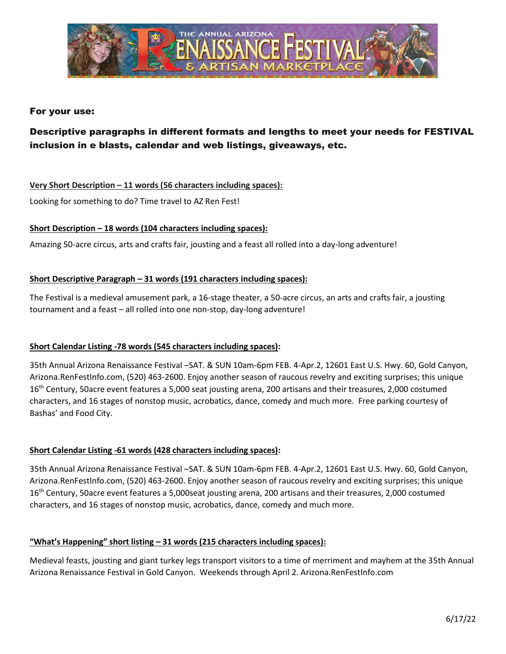

# For your use:

# Descriptive paragraphs in different formats and lengths to meet your needs for FESTIVAL inclusion in e blasts, calendar and web listings, giveaways, etc.

## **Very Short Description – 11 words (56 characters including spaces):**

Looking for something to do? Time travel to AZ Ren Fest!

## **Short Description – 18 words (104 characters including spaces):**

Amazing 50-acre circus, arts and crafts fair, jousting and a feast all rolled into a day-long adventure!

## **Short Descriptive Paragraph – 31 words (191 characters including spaces):**

The Festival is a medieval amusement park, a 16-stage theater, a 50-acre circus, an arts and crafts fair, a jousting tournament and a feast – all rolled into one non-stop, day-long adventure!

# **Short Calendar Listing -78 words (545 characters including spaces):**

35th Annual Arizona Renaissance Festival –SAT. & SUN 10am-6pm FEB. 4-Apr.2, 12601 East U.S. Hwy. 60, Gold Canyon, Arizona.RenFestInfo.com, (520) 463-2600. Enjoy another season of raucous revelry and exciting surprises; this unique 16<sup>th</sup> Century, 50acre event features a 5,000 seat jousting arena, 200 artisans and their treasures, 2,000 costumed characters, and 16 stages of nonstop music, acrobatics, dance, comedy and much more. Free parking courtesy of Bashas' and Food City.

## **Short Calendar Listing -61 words (428 characters including spaces):**

35th Annual Arizona Renaissance Festival –SAT. & SUN 10am-6pm FEB. 4-Apr.2, 12601 East U.S. Hwy. 60, Gold Canyon, Arizona.RenFestInfo.com, (520) 463-2600. Enjoy another season of raucous revelry and exciting surprises; this unique 16<sup>th</sup> Century, 50acre event features a 5,000seat jousting arena, 200 artisans and their treasures, 2,000 costumed characters, and 16 stages of nonstop music, acrobatics, dance, comedy and much more.

## **"What's Happening" short listing – 31 words (215 characters including spaces):**

Medieval feasts, jousting and giant turkey legs transport visitors to a time of merriment and mayhem at the 35th Annual Arizona Renaissance Festival in Gold Canyon. Weekends through April 2. Arizona.RenFestInfo.com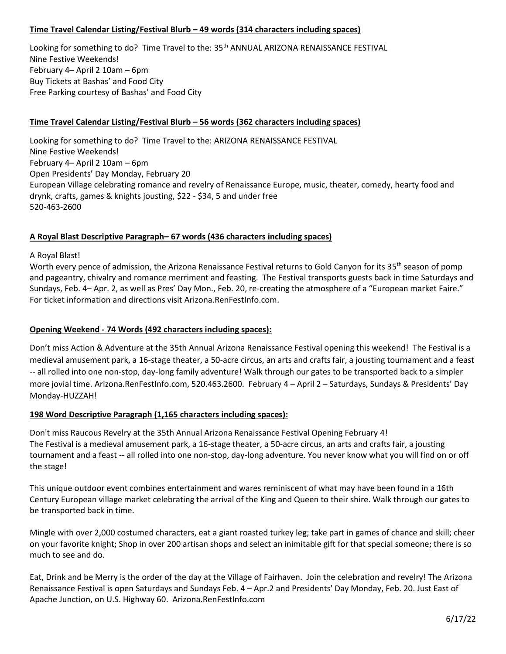# **Time Travel Calendar Listing/Festival Blurb – 49 words (314 characters including spaces)**

Looking for something to do? Time Travel to the: 35<sup>th</sup> ANNUAL ARIZONA RENAISSANCE FESTIVAL Nine Festive Weekends! February 4– April 2 10am – 6pm Buy Tickets at Bashas' and Food City Free Parking courtesy of Bashas' and Food City

## **Time Travel Calendar Listing/Festival Blurb – 56 words (362 characters including spaces)**

Looking for something to do? Time Travel to the: ARIZONA RENAISSANCE FESTIVAL Nine Festive Weekends! February 4– April 2 10am – 6pm Open Presidents' Day Monday, February 20 European Village celebrating romance and revelry of Renaissance Europe, music, theater, comedy, hearty food and drynk, crafts, games & knights jousting, \$22 - \$34, 5 and under free 520-463-2600

## **A Royal Blast Descriptive Paragraph– 67 words (436 characters including spaces)**

#### A Royal Blast!

Worth every pence of admission, the Arizona Renaissance Festival returns to Gold Canyon for its 35<sup>th</sup> season of pomp and pageantry, chivalry and romance merriment and feasting. The Festival transports guests back in time Saturdays and Sundays, Feb. 4– Apr. 2, as well as Pres' Day Mon., Feb. 20, re-creating the atmosphere of a "European market Faire." For ticket information and directions visit Arizona.RenFestInfo.com.

## **Opening Weekend - 74 Words (492 characters including spaces):**

Don't miss Action & Adventure at the 35th Annual Arizona Renaissance Festival opening this weekend! The Festival is a medieval amusement park, a 16-stage theater, a 50-acre circus, an arts and crafts fair, a jousting tournament and a feast -- all rolled into one non-stop, day-long family adventure! Walk through our gates to be transported back to a simpler more jovial time. Arizona.RenFestInfo.com, 520.463.2600. February 4 – April 2 – Saturdays, Sundays & Presidents' Day Monday-HUZZAH!

## **198 Word Descriptive Paragraph (1,165 characters including spaces):**

Don't miss Raucous Revelry at the 35th Annual Arizona Renaissance Festival Opening February 4! The Festival is a medieval amusement park, a 16-stage theater, a 50-acre circus, an arts and crafts fair, a jousting tournament and a feast -- all rolled into one non-stop, day-long adventure. You never know what you will find on or off the stage!

This unique outdoor event combines entertainment and wares reminiscent of what may have been found in a 16th Century European village market celebrating the arrival of the King and Queen to their shire. Walk through our gates to be transported back in time.

Mingle with over 2,000 costumed characters, eat a giant roasted turkey leg; take part in games of chance and skill; cheer on your favorite knight; Shop in over 200 artisan shops and select an inimitable gift for that special someone; there is so much to see and do.

Eat, Drink and be Merry is the order of the day at the Village of Fairhaven. Join the celebration and revelry! The Arizona Renaissance Festival is open Saturdays and Sundays Feb. 4 – Apr.2 and Presidents' Day Monday, Feb. 20. Just East of Apache Junction, on U.S. Highway 60. Arizona.RenFestInfo.com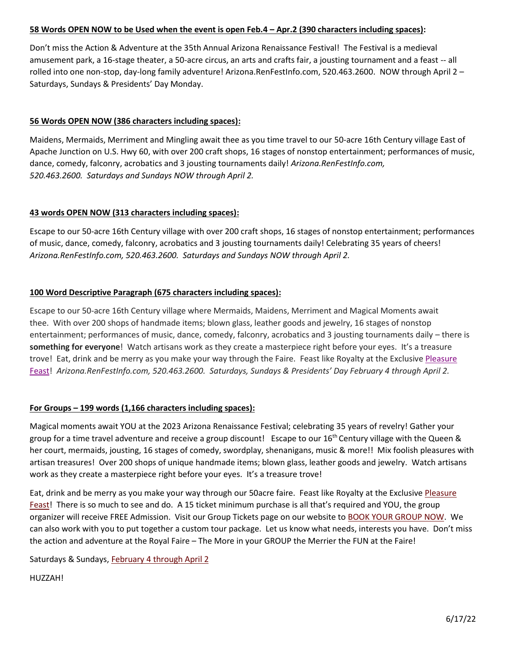# **58 Words OPEN NOW to be Used when the event is open Feb.4 – Apr.2 (390 characters including spaces):**

Don't miss the Action & Adventure at the 35th Annual Arizona Renaissance Festival! The Festival is a medieval amusement park, a 16-stage theater, a 50-acre circus, an arts and crafts fair, a jousting tournament and a feast -- all rolled into one non-stop, day-long family adventure! Arizona.RenFestInfo.com, 520.463.2600. NOW through April 2 – Saturdays, Sundays & Presidents' Day Monday.

# **56 Words OPEN NOW (386 characters including spaces):**

Maidens, Mermaids, Merriment and Mingling await thee as you time travel to our 50-acre 16th Century village East of Apache Junction on U.S. Hwy 60, with over 200 craft shops, 16 stages of nonstop entertainment; performances of music, dance, comedy, falconry, acrobatics and 3 jousting tournaments daily! *Arizona.RenFestInfo.com, 520.463.2600. Saturdays and Sundays NOW through April 2.*

## **43 words OPEN NOW (313 characters including spaces):**

Escape to our 50-acre 16th Century village with over 200 craft shops, 16 stages of nonstop entertainment; performances of music, dance, comedy, falconry, acrobatics and 3 jousting tournaments daily! Celebrating 35 years of cheers! *Arizona.RenFestInfo.com, 520.463.2600. Saturdays and Sundays NOW through April 2.*

## **100 Word Descriptive Paragraph (675 characters including spaces):**

Escape to our 50-acre 16th Century village where Mermaids, Maidens, Merriment and Magical Moments await thee. With over 200 shops of handmade items; blown glass, leather goods and jewelry, 16 stages of nonstop entertainment; performances of music, dance, comedy, falconry, acrobatics and 3 jousting tournaments daily – there is **something for everyone**! Watch artisans work as they create a masterpiece right before your eyes. It's a treasure trove! Eat, drink and be merry as you make your way through the Faire. Feast like Royalty at the Exclusive Pleasure [Feast!](http://arizona.renfestinfo.com/the-pleasure-feast/) *Arizona.RenFestInfo.com, 520.463.2600. Saturdays, Sundays & Presidents' Day February 4 through April 2.* 

## **For Groups – 199 words (1,166 characters including spaces):**

Magical moments await YOU at the 2023 Arizona Renaissance Festival; celebrating 35 years of revelry! Gather your group for a time travel adventure and receive a group discount! Escape to our  $16^{th}$  Century village with the Queen & her court, mermaids, jousting, 16 stages of comedy, swordplay, shenanigans, music & more!! Mix foolish pleasures with artisan treasures! Over 200 shops of unique handmade items; blown glass, leather goods and jewelry. Watch artisans work as they create a masterpiece right before your eyes. It's a treasure trove!

Eat, drink and be merry as you make your way through our 50acre faire. Feast like Royalty at the Exclusive [Pleasure](http://arizona.renfestinfo.com/the-pleasure-feast/)  [Feast!](http://arizona.renfestinfo.com/the-pleasure-feast/) There is so much to see and do. A 15 ticket minimum purchase is all that's required and YOU, the group organizer will receive FREE Admission. Visit our Group Tickets page on our website to [BOOK YOUR GROUP NOW.](http://arizona.renfestinfo.com/ticket-information/group-discount-tickets/) We can also work with you to put together a custom tour package. Let us know what needs, interests you have. Don't miss the action and adventure at the Royal Faire – The More in your GROUP the Merrier the FUN at the Faire!

Saturdays & Sundays, February 4 through April 2

HUZZAH!